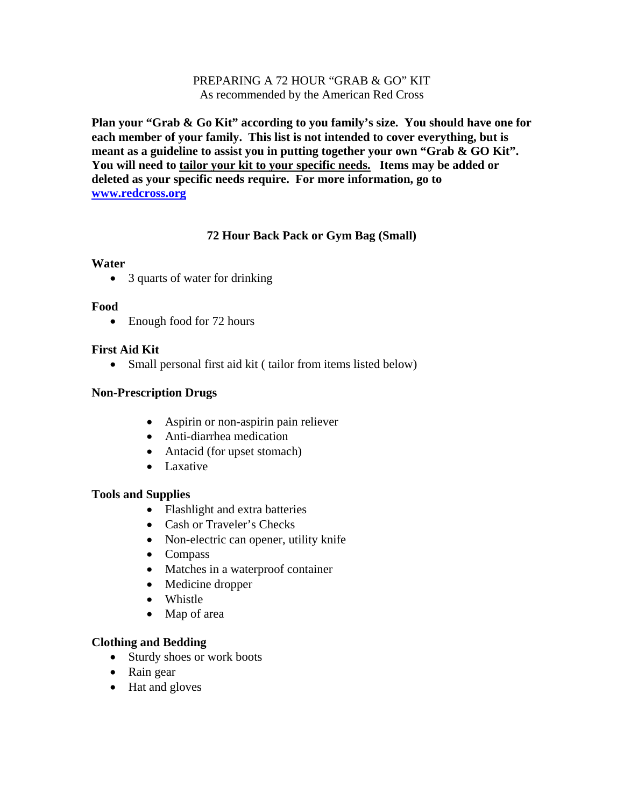#### PREPARING A 72 HOUR "GRAB & GO" KIT As recommended by the American Red Cross

**Plan your "Grab & Go Kit" according to you family's size. You should have one for each member of your family. This list is not intended to cover everything, but is meant as a guideline to assist you in putting together your own "Grab & GO Kit". You will need to tailor your kit to your specific needs. Items may be added or deleted as your specific needs require. For more information, go to [www.redcross.org](http://www.redcross.org/)**

### **72 Hour Back Pack or Gym Bag (Small)**

#### **Water**

• 3 quarts of water for drinking

#### **Food**

• Enough food for 72 hours

### **First Aid Kit**

• Small personal first aid kit (tailor from items listed below)

### **Non-Prescription Drugs**

- Aspirin or non-aspirin pain reliever
- Anti-diarrhea medication
- Antacid (for upset stomach)
- Laxative

#### **Tools and Supplies**

- Flashlight and extra batteries
- Cash or Traveler's Checks
- Non-electric can opener, utility knife
- Compass
- Matches in a waterproof container
- Medicine dropper
- Whistle
- Map of area

#### **Clothing and Bedding**

- Sturdy shoes or work boots
- Rain gear
- Hat and gloves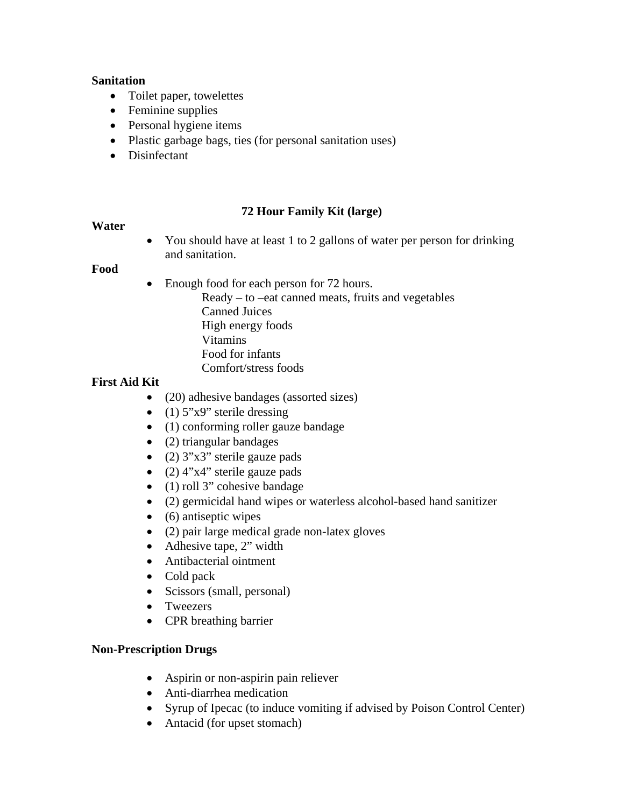#### **Sanitation**

- Toilet paper, towelettes
- Feminine supplies
- Personal hygiene items
- Plastic garbage bags, ties (for personal sanitation uses)
- Disinfectant

## **72 Hour Family Kit (large)**

### **Water**

• You should have at least 1 to 2 gallons of water per person for drinking and sanitation.

#### **Food**

- Enough food for each person for 72 hours.
	- Ready to –eat canned meats, fruits and vegetables Canned Juices High energy foods Vitamins Food for infants Comfort/stress foods

## **First Aid Kit**

- (20) adhesive bandages (assorted sizes)
- (1)  $5"x9"$  sterile dressing
- (1) conforming roller gauze bandage
- (2) triangular bandages
- (2)  $3"x3"$  sterile gauze pads
- (2)  $4"x4"$  sterile gauze pads
- (1) roll 3" cohesive bandage
- (2) germicidal hand wipes or waterless alcohol-based hand sanitizer
- $\bullet$  (6) antiseptic wipes
- (2) pair large medical grade non-latex gloves
- Adhesive tape, 2" width
- Antibacterial ointment
- Cold pack
- Scissors (small, personal)
- Tweezers
- CPR breathing barrier

## **Non-Prescription Drugs**

- Aspirin or non-aspirin pain reliever
- Anti-diarrhea medication
- Syrup of Ipecac (to induce vomiting if advised by Poison Control Center)
- Antacid (for upset stomach)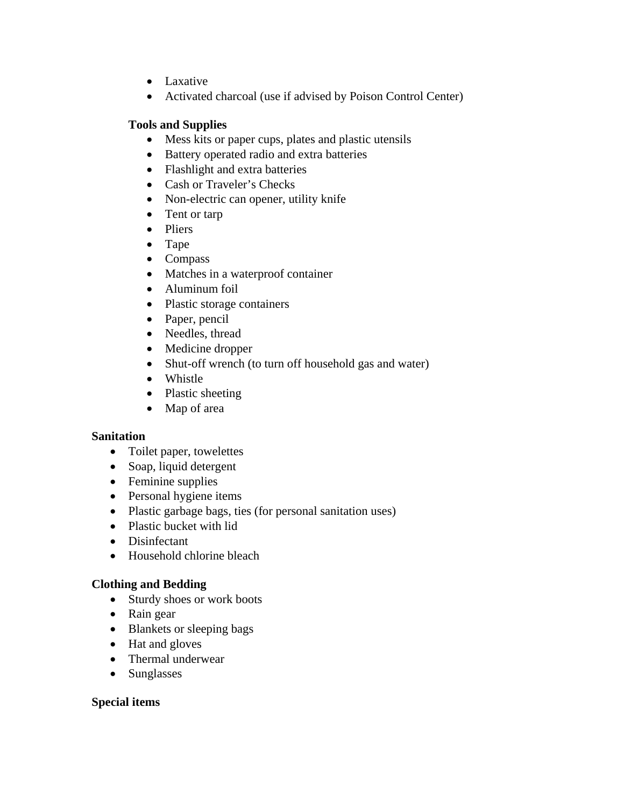- Laxative
- Activated charcoal (use if advised by Poison Control Center)

## **Tools and Supplies**

- Mess kits or paper cups, plates and plastic utensils
- Battery operated radio and extra batteries
- Flashlight and extra batteries
- Cash or Traveler's Checks
- Non-electric can opener, utility knife
- Tent or tarp
- Pliers
- Tape
- Compass
- Matches in a waterproof container
- Aluminum foil
- Plastic storage containers
- Paper, pencil
- Needles, thread
- Medicine dropper
- Shut-off wrench (to turn off household gas and water)
- Whistle
- Plastic sheeting
- Map of area

## **Sanitation**

- Toilet paper, towelettes
- Soap, liquid detergent
- Feminine supplies
- Personal hygiene items
- Plastic garbage bags, ties (for personal sanitation uses)
- Plastic bucket with lid
- Disinfectant
- Household chlorine bleach

## **Clothing and Bedding**

- Sturdy shoes or work boots
- Rain gear
- Blankets or sleeping bags
- Hat and gloves
- Thermal underwear
- Sunglasses

## **Special items**